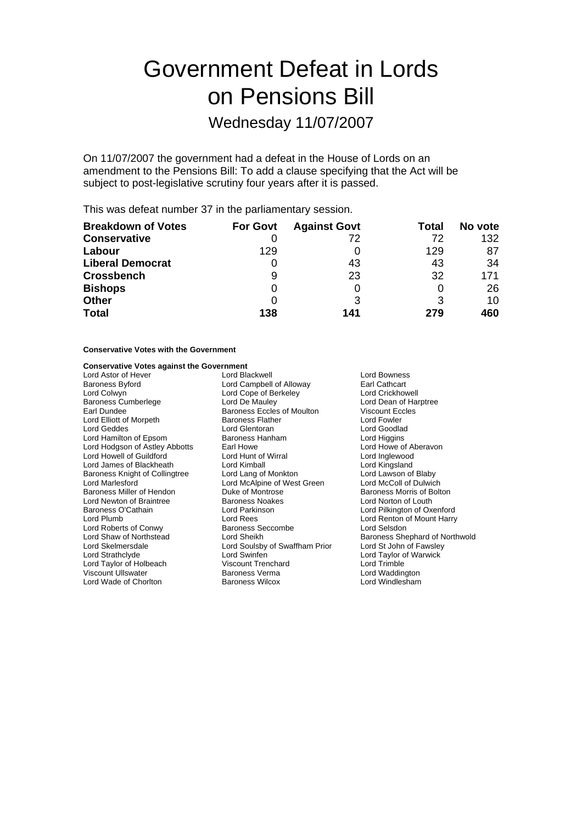# Government Defeat in Lords on Pensions Bill

Wednesday 11/07/2007

On 11/07/2007 the government had a defeat in the House of Lords on an amendment to the Pensions Bill: To add a clause specifying that the Act will be subject to post-legislative scrutiny four years after it is passed.

This was defeat number 37 in the parliamentary session.

| <b>Breakdown of Votes</b> | <b>For Govt</b> | <b>Against Govt</b> | Total | No vote |
|---------------------------|-----------------|---------------------|-------|---------|
| <b>Conservative</b>       |                 | 72                  | 72    | 132     |
| Labour                    | 129             |                     | 129   | 87      |
| <b>Liberal Democrat</b>   |                 | 43                  | 43    | 34      |
| <b>Crossbench</b>         | 9               | 23                  | 32    | 171     |
| <b>Bishops</b>            |                 |                     |       | 26      |
| <b>Other</b>              |                 | 3                   | 3     | 10      |
| <b>Total</b>              | 138             | 141                 | 279   | 460     |

# **Conservative Votes with the Government**

# **Conservative Votes against the Government**

Lord Astor of Hever **Lord Blackwell** Lord Bowness<br>
Baroness Byford **Campbell of Alloway** Earl Cathcart Baroness Byford Lord Campbell of Alloway Earl Cathcart Lord Colwyn Lord Cope of Berkeley<br>
Baroness Cumberlege Lord De Mauley Baroness Cumberlege Lord De Mauley Lord Dean of Harptree<br>
Earl Dundee Lord Dean of Harptree<br>
Baroness Eccles of Moulton Viscount Eccles Lord Elliott of Morpeth Baroness Flather Lord Geddes Lord Gentoran Lord Gentoran Lord Goodlad Lord Hamilton of Epsom Baroness Hanham Lord Angelins Lord Hamilton of Epsom Baroness Hanham Lord Higgins<br>
Lord Hodgson of Astley Abbotts Earl Howe Carl Howe Cord Howe of Aberavon Lord Hodgson of Astley Abbotts Earl Howe Carl Howe of A<br>
Lord Howell of Guildford 
Lord Hunt of Wirral

Lord Howell of Guildford

Lord Inglewood Lord Howell of Guildford Lord Hunt of Wirral Lord Inglewood Lord James of Blackheath Lord Kimball Lord Kingsland Baroness Knight of Collingtree Lord Lang of Monkton Lord Lavison of Blaby<br>
Lord Marlesford Lord McAlpine of West Green Lord McColl of Dulwich Baroness Miller of Hendon Duke of Montrose<br>
Lord Newton of Braintree Baroness Noakes Lord Newton of Braintree **Baroness Noakes** Lord Norton of Louth<br>
Baroness O'Cathain **Baroness Lord Parkinson** Lord Pilkington of Ox Baroness O'Cathain **Lord Parkinson** Lord Parkinson **Lord Pilkington of Oxenford**<br>
Lord Rees
Lord Rees
Lord Rees
Lord Rees
Lord Rees
Lord Rees
Lord Rees
Lord Rees
Lord Rees
Lord Rees
Lord Rees
Lord Rees
Lord Rees
Lord Rees Lord Roberts of Conwy Lord Shaw of Northstead Lord Sheikh Baroness Shephard of Northwold<br>
Lord Stelmersdale Lord Soulsby of Swaffham Prior Lord St John of Fawsley Lord Skelmersdale Lord Soulsby of Swaffham Prior Lord St John of Fawsley Lord Taylor of Holbeach Viscount Trenchard Lord Trimble Viscount Ullswater **Communist Communist Communist Communist Communist Communist Communist Communist Communist Communist Communist Communist Communist Communist Communist Communist Communist Communist Communist Communist Co** Lord Wade of Chorlton

Earoness Eccles of Moulton Viscount Eccles of Moulton Viscount Eccles<br>
Dundee Baroness Flather<br>
Lord Fowler Lord McAlpine of West Green Lord McColl of Dulwich<br>
Duke of Montrose Baroness Morris of Bolton Lord Rees<br>
Raroness Seccombe<br>
Lord Selsdon<br>
Lord Selsdon Lord Swinfen **Lord Taylor of Warwick**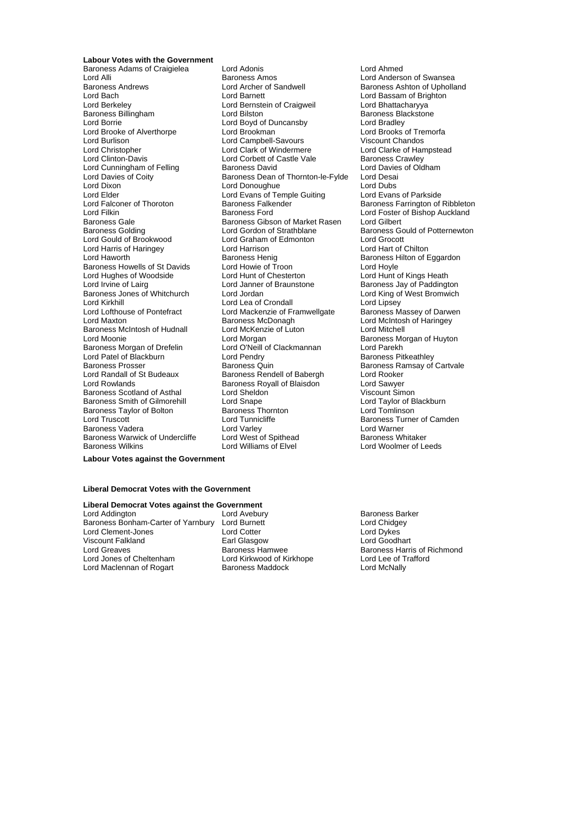**Labour Votes with the Government** Baroness Adams of Craigielea Lord Adonis Lord Ahmed Lord Alli **Communist Communist Communist Communist Communist Communist Communist Communist Communist Communist C**<br>Baroness Andrews **Communist Communist Communist Communist Communist Communist Communist Communist Communist** Lord Bach Lord Barnett Lord Bassam of Brighton<br>
Lord Berkeley Cord Bernstein of Craigweil Lord Bhattacharyya Baroness Billingham Lord Bilston Baroness Blackstoness Blackstoness Blackstoness Blackstoness Blackstoness Bla<br>
Lord Boyd of Duncansby Lord Bradley Lord Brooke of Alverthorpe **Lord Brookman** Lord Brooks of Tremorfange Cord Brooks of Tremorfange Cord Campbell-Savours<br>Cord Campbell-Savours Cord Ciscount Chandos Lord Burlison Lord Campbell-Savours<br>
Lord Christopher Lord Clark of Windermere Lord Christopher **Lord Clark of Windermere** Lord Clarke of Hampstead<br>
Lord Clinton-Davis **Lord Corbet of Castle Vale** Baroness Crawley Lord Cunningham of Felling Baroness David Lord Davies Lord Davies Card Davies Caroness Dean of Thornton-le-Fylde Lord Desai Lord Davies of Coity Baroness Dean of Thornton-le-Fylde Lord Desai Lord Elder Lord Evans of Temple Guiting Lord Evans of Parkside<br>
Lord Falconer of Thoroton Baroness Falkender Baroness Farrington of Lord Falconer of Thoroton Baroness Falkender Baroness Farrington of Ribbleton<br>Lord Filkin Baroness Ford Baroness Ford Boster of Bishop Auckland Lord Filkin **Example 2** Exercise Baroness Ford **Example 2 Lord Foster of Bishop Auckland**<br>Baroness Gale **Baroness Gibson of Market Rasen** Lord Gilbert Baroness Gale<br>
Baroness Golding<br>
Lord Gordon of Strathblane Lord Gould of Brookwood Lord Graham of Edmonton Lord Grocott Lord Harris of Haringey **Lord Harrison**<br>
Lord Haworth Chilton Baroness Henig Baroness Howells of St Davids Lord Howie of Troon Lord Hoyle<br>
Lord Hughes of Woodside Lord Hunt of Chesterton Lord Hunt of Kings Heath Lord Hughes of Woodside Lord Hunt of Chesterton<br>
Lord Irvine of Lairg<br>
Lord Janner of Braunstone Baroness Jones of Whitchurch<br>Lord Kirkhill Lord Kirkhill **Carolic Lord Lea of Crondall** Lord Lipsey<br>
Lord Lofthouse of Pontefract Lord Mackenzie of Framwellgate Baroness M Lord Lofthouse of Pontefract Lord Mackenzie of Framwellgate Baroness Massey of Darwen<br>Lord Maxton Cord Mattingey Baroness McDonagh Lord McIntosh of Haringey Baroness McIntosh of Hudnall Lord Moonie **Lord Morgan** Lord Morgan **Baroness Morgan of Huyton**<br>
Baroness Morgan of Drefelin **Lord O'Neill of Clackmannan** Lord Parekh Baroness Morgan of Drefelin Lord O'Neill of Clackmannan Lord Parekh<br>
Lord Patel of Blackburn Lord Pendry Baroness Pit Lord Patel of Blackburn **Lord Pendry Communist Communist Communist** Baroness Pitkeathley<br>
Baroness Prosser **Baroness Communist Communist Communist Communist Communist Communist Communist Communist Comm** Baroness Prosser **Baroness Action** Baroness Quin Baroness Ramsay of Cartvale<br>
Baroness Rendell of Babergh Baroness Rendell of Babergh Lord Rooker Lord Rowlands **Baroness Royall of Blaisdon** Cord Sawyer<br>Baroness Scotland of Asthal **Baroness Lord Sheldon** Viscount Simon Baroness Scotland of Asthal Lord Sheldon **Communist Communist Communist Communist Communist Communist Communist Communist Communist Communist Communist Communist Communist Communist Communist Communist Communist Communist** Baroness Smith of Gilmorehill Lord Snape<br>Baroness Taylor of Bolton Baroness Thornton Baroness Taylor of Bolton **Baroness Thornton** Baroness Thornton **Baroness Tomas Lord Tomlinson**<br>
Lord Truscott **Baroness Turne** Baroness Vadera **Carolic Construent Construent** Lord Varley Cord Varner<br>Baroness Warwick of Undercliffe Lord West of Spithead **Construent Baroness Whitaker** Baroness Warwick of Undercliffe

Lord Bernstein of Craigweil Lord Bhattacharyya<br>Lord Bilston Baroness Blackstone Lord Boyd of Duncansby Lord Bradley<br>
Lord Brookman **Lord Brooks** of Tremorfa Lord Corbett of Castle Vale Baroness Crawley<br>
Baroness David Baroness Clotham Lord Donoughue Lord Gordon of Strathblane Baroness Gould of Potternewton<br>
Lord Graham of Edmonton Lord Grocott Baroness Henig<br>
Lord Howie of Troon<br>
Lord Hovle<br>
Lord Hovle Lord Janner of Braunstone **Baroness Jay of Paddington**<br>
Lord Jordan **Baroness Jay of West Bromwich** Baroness McDonagh Lord McIntosh of Haringey<br>
Lord McKenzie of Luton<br>
Lord Mitchell Baroness Rendell of Babergh Lord Rooker Lord Tunnicliffe **Baroness Turner of Camden**<br>
Lord Varley **Baroness Turner** Lord Warner Baroness Wilkins Lord Williams of Elvel Lord Woolmer of Leeds

Baroness Ashton of Upholland

**Labour Votes against the Government**

### **Liberal Democrat Votes with the Government**

# **Liberal Democrat Votes against the Government**

Baroness Bonham-Carter of Yarnbury Lord Burnett Lord Chidge<br>
Lord Clement-Jones Lord Cotter Lord Dykes Lord Clement-Jones Lord Cotter Lord Dykes Viscount Falkland Earl Glasgow<br>
Lord Greaves Controller Baroness Hamwee Lord Greaves **Baroness Hamwee** Baroness Hames Harris of Richmond<br>
Lord Jones of Cheltenham **Baroness Harris of Allamand** Lord Lord Lee of Trafford Lord Maclennan of Rogart Baroness Maddock Lord McNally

Lord Avebury **Baroness Barker**<br>
Lord Burnett **Lord Chidgey** Lord Kirkwood of Kirkhope